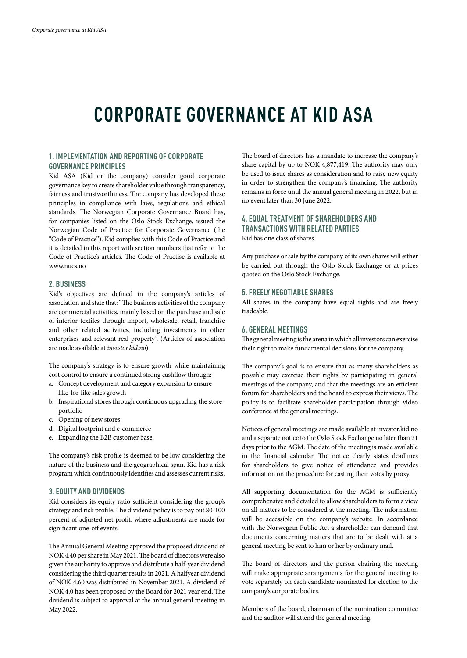# **CORPORATE GOVERNANCE AT KID ASA**

## **1. IMPLEMENTATION AND REPORTING OF CORPORATE GOVERNANCE PRINCIPLES**

Kid ASA (Kid or the company) consider good corporate governance key to create shareholder value through transparency, fairness and trustworthiness. The company has developed these principles in compliance with laws, regulations and ethical standards. The Norwegian Corporate Governance Board has, for companies listed on the Oslo Stock Exchange, issued the Norwegian Code of Practice for Corporate Governance (the "Code of Practice"). Kid complies with this Code of Practice and it is detailed in this report with section numbers that refer to the Code of Practice's articles. The Code of Practise is available at www.nues.no

#### **2. BUSINESS**

Kid's objectives are defined in the company's articles of association and state that: "The business activities of the company are commercial activities, mainly based on the purchase and sale of interior textiles through import, wholesale, retail, franchise and other related activities, including investments in other enterprises and relevant real property". (Articles of association are made available at *investor.kid.no*)

The company's strategy is to ensure growth while maintaining cost control to ensure a continued strong cashflow through:

- a. Concept development and category expansion to ensure like-for-like sales growth
- b. Inspirational stores through continuous upgrading the store portfolio
- c. Opening of new stores
- d. Digital footprint and e-commerce
- e. Expanding the B2B customer base

The company's risk profile is deemed to be low considering the nature of the business and the geographical span. Kid has a risk program which continuously identifies and assesses current risks.

#### **3. EQUITY AND DIVIDENDS**

Kid considers its equity ratio sufficient considering the group's strategy and risk profile. The dividend policy is to pay out 80-100 percent of adjusted net profit, where adjustments are made for significant one-off events.

The Annual General Meeting approved the proposed dividend of NOK 4.40 per share in May 2021. The board of directors were also given the authority to approve and distribute a half-year dividend considering the third quarter results in 2021. A halfyear dividend of NOK 4.60 was distributed in November 2021. A dividend of NOK 4.0 has been proposed by the Board for 2021 year end. The dividend is subject to approval at the annual general meeting in May 2022.

The board of directors has a mandate to increase the company's share capital by up to NOK 4,877,419. The authority may only be used to issue shares as consideration and to raise new equity in order to strengthen the company's financing. The authority remains in force until the annual general meeting in 2022, but in no event later than 30 June 2022.

# **4. EQUAL TREATMENT OF SHAREHOLDERS AND TRANSACTIONS WITH RELATED PARTIES**

Kid has one class of shares.

Any purchase or sale by the company of its own shares will either be carried out through the Oslo Stock Exchange or at prices quoted on the Oslo Stock Exchange.

## **5. FREELY NEGOTIABLE SHARES**

All shares in the company have equal rights and are freely tradeable.

## **6. GENERAL MEETINGS**

The general meeting is the arena in which all investors can exercise their right to make fundamental decisions for the company.

The company's goal is to ensure that as many shareholders as possible may exercise their rights by participating in general meetings of the company, and that the meetings are an efficient forum for shareholders and the board to express their views. The policy is to facilitate shareholder participation through video conference at the general meetings.

Notices of general meetings are made available at investor.kid.no and a separate notice to the Oslo Stock Exchange no later than 21 days prior to the AGM. The date of the meeting is made available in the financial calendar. The notice clearly states deadlines for shareholders to give notice of attendance and provides information on the procedure for casting their votes by proxy.

All supporting documentation for the AGM is sufficiently comprehensive and detailed to allow shareholders to form a view on all matters to be considered at the meeting. The information will be accessible on the company's website. In accordance with the Norwegian Public Act a shareholder can demand that documents concerning matters that are to be dealt with at a general meeting be sent to him or her by ordinary mail.

The board of directors and the person chairing the meeting will make appropriate arrangements for the general meeting to vote separately on each candidate nominated for election to the company's corporate bodies.

Members of the board, chairman of the nomination committee and the auditor will attend the general meeting.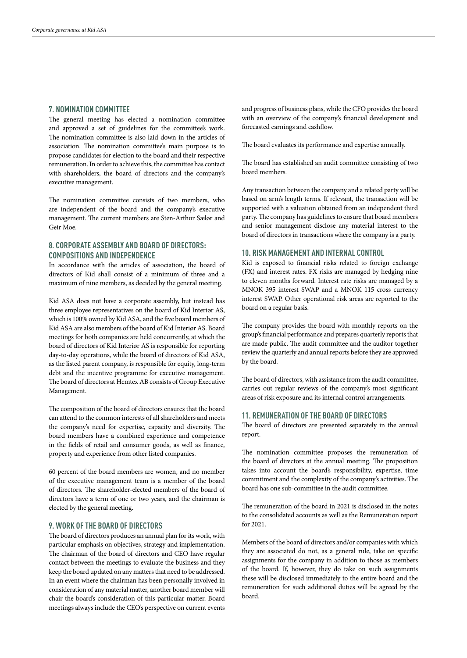### **7. NOMINATION COMMITTEE**

The general meeting has elected a nomination committee and approved a set of guidelines for the committee's work. The nomination committee is also laid down in the articles of association. The nomination committee's main purpose is to propose candidates for election to the board and their respective remuneration. In order to achieve this, the committee has contact with shareholders, the board of directors and the company's executive management.

The nomination committee consists of two members, who are independent of the board and the company's executive management. The current members are Sten-Arthur Sælør and Geir Moe.

## **8. CORPORATE ASSEMBLY AND BOARD OF DIRECTORS: COMPOSITIONS AND INDEPENDENCE**

In accordance with the articles of association, the board of directors of Kid shall consist of a minimum of three and a maximum of nine members, as decided by the general meeting.

Kid ASA does not have a corporate assembly, but instead has three employee representatives on the board of Kid Interiør AS, which is 100% owned by Kid ASA, and the five board members of Kid ASA are also members of the board of Kid Interiør AS. Board meetings for both companies are held concurrently, at which the board of directors of Kid Interiør AS is responsible for reporting day-to-day operations, while the board of directors of Kid ASA, as the listed parent company, is responsible for equity, long-term debt and the incentive programme for executive management. The board of directors at Hemtex AB consists of Group Executive Management.

The composition of the board of directors ensures that the board can attend to the common interests of all shareholders and meets the company's need for expertise, capacity and diversity. The board members have a combined experience and competence in the fields of retail and consumer goods, as well as finance, property and experience from other listed companies.

60 percent of the board members are women, and no member of the executive management team is a member of the board of directors. The shareholder-elected members of the board of directors have a term of one or two years, and the chairman is elected by the general meeting.

#### **9. WORK OF THE BOARD OF DIRECTORS**

The board of directors produces an annual plan for its work, with particular emphasis on objectives, strategy and implementation. The chairman of the board of directors and CEO have regular contact between the meetings to evaluate the business and they keep the board updated on any matters that need to be addressed. In an event where the chairman has been personally involved in consideration of any material matter, another board member will chair the board's consideration of this particular matter. Board meetings always include the CEO's perspective on current events

and progress of business plans, while the CFO provides the board with an overview of the company's financial development and forecasted earnings and cashflow.

The board evaluates its performance and expertise annually.

The board has established an audit committee consisting of two board members.

Any transaction between the company and a related party will be based on arm's length terms. If relevant, the transaction will be supported with a valuation obtained from an independent third party. The company has guidelines to ensure that board members and senior management disclose any material interest to the board of directors in transactions where the company is a party.

# **10. RISK MANAGEMENT AND INTERNAL CONTROL**

Kid is exposed to financial risks related to foreign exchange (FX) and interest rates. FX risks are managed by hedging nine to eleven months forward. Interest rate risks are managed by a MNOK 395 interest SWAP and a MNOK 115 cross currency interest SWAP. Other operational risk areas are reported to the board on a regular basis.

The company provides the board with monthly reports on the group's financial performance and prepares quarterly reports that are made public. The audit committee and the auditor together review the quarterly and annual reports before they are approved by the board.

The board of directors, with assistance from the audit committee, carries out regular reviews of the company's most significant areas of risk exposure and its internal control arrangements.

#### **11. REMUNERATION OF THE BOARD OF DIRECTORS**

The board of directors are presented separately in the annual report.

The nomination committee proposes the remuneration of the board of directors at the annual meeting. The proposition takes into account the board's responsibility, expertise, time commitment and the complexity of the company's activities. The board has one sub-committee in the audit committee.

The remuneration of the board in 2021 is disclosed in the notes to the consolidated accounts as well as the Remuneration report for 2021.

Members of the board of directors and/or companies with which they are associated do not, as a general rule, take on specific assignments for the company in addition to those as members of the board. If, however, they do take on such assignments these will be disclosed immediately to the entire board and the remuneration for such additional duties will be agreed by the board.